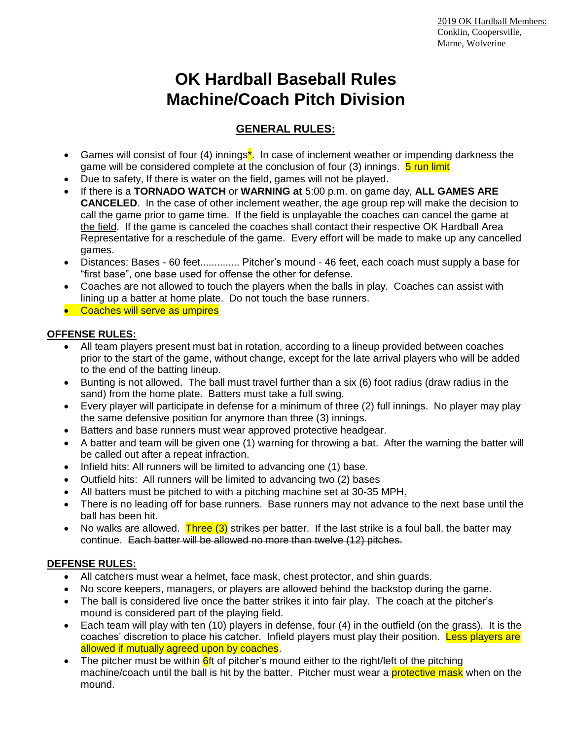# **OK Hardball Baseball Rules Machine/Coach Pitch Division**

## **GENERAL RULES:**

- Games will consist of four (4) innings<sup>\*</sup>. In case of inclement weather or impending darkness the game will be considered complete at the conclusion of four (3) innings. **5 run limit**
- Due to safety, If there is water on the field, games will not be played.
- If there is a **TORNADO WATCH** or **WARNING at** 5:00 p.m. on game day, **ALL GAMES ARE CANCELED**. In the case of other inclement weather, the age group rep will make the decision to call the game prior to game time. If the field is unplayable the coaches can cancel the game at the field. If the game is canceled the coaches shall contact their respective OK Hardball Area Representative for a reschedule of the game. Every effort will be made to make up any cancelled games.
- Distances: Bases 60 feet.............. Pitcher's mound 46 feet, each coach must supply a base for "first base", one base used for offense the other for defense.
- Coaches are not allowed to touch the players when the balls in play. Coaches can assist with lining up a batter at home plate. Do not touch the base runners.
- Coaches will serve as umpires

### **OFFENSE RULES:**

- All team players present must bat in rotation, according to a lineup provided between coaches prior to the start of the game, without change, except for the late arrival players who will be added to the end of the batting lineup.
- Bunting is not allowed. The ball must travel further than a six (6) foot radius (draw radius in the sand) from the home plate. Batters must take a full swing.
- Every player will participate in defense for a minimum of three (2) full innings. No player may play the same defensive position for anymore than three (3) innings.
- Batters and base runners must wear approved protective headgear.
- A batter and team will be given one (1) warning for throwing a bat. After the warning the batter will be called out after a repeat infraction.
- Infield hits: All runners will be limited to advancing one (1) base.
- Outfield hits: All runners will be limited to advancing two (2) bases
- All batters must be pitched to with a pitching machine set at 30-35 MPH.
- There is no leading off for base runners. Base runners may not advance to the next base until the ball has been hit.
- No walks are allowed. Three  $(3)$  strikes per batter. If the last strike is a foul ball, the batter may continue. Each batter will be allowed no more than twelve (12) pitches.

## **DEFENSE RULES:**

- All catchers must wear a helmet, face mask, chest protector, and shin guards.
- No score keepers, managers, or players are allowed behind the backstop during the game.
- The ball is considered live once the batter strikes it into fair play. The coach at the pitcher's mound is considered part of the playing field.
- Each team will play with ten (10) players in defense, four (4) in the outfield (on the grass). It is the coaches' discretion to place his catcher. Infield players must play their position. Less players are allowed if mutually agreed upon by coaches.
- The pitcher must be within  $\frac{6}{10}$  ft of pitcher's mound either to the right/left of the pitching machine/coach until the ball is hit by the batter. Pitcher must wear a protective mask when on the mound.